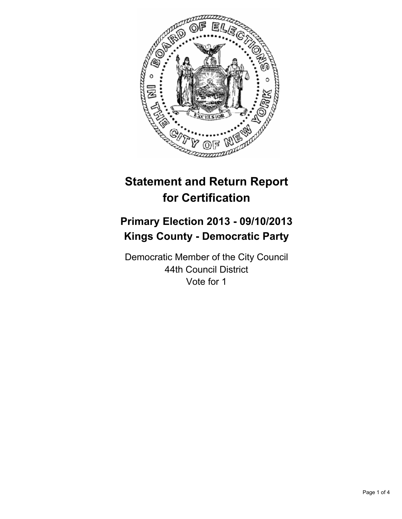

# **Statement and Return Report for Certification**

## **Primary Election 2013 - 09/10/2013 Kings County - Democratic Party**

Democratic Member of the City Council 44th Council District Vote for 1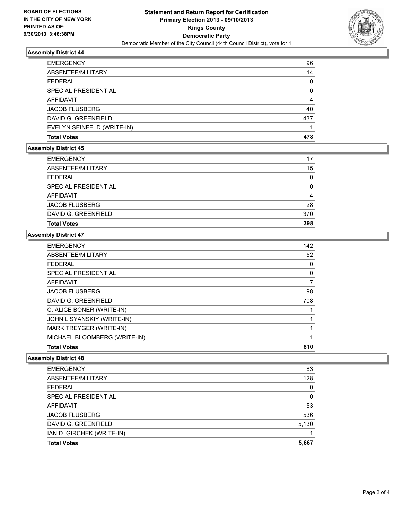

#### **Assembly District 44**

| <b>EMERGENCY</b>            | 96       |
|-----------------------------|----------|
| ABSENTEE/MILITARY           | 14       |
| <b>FEDERAL</b>              | 0        |
| <b>SPECIAL PRESIDENTIAL</b> | $\Omega$ |
| <b>AFFIDAVIT</b>            | 4        |
| <b>JACOB FLUSBERG</b>       | 40       |
| DAVID G. GREENFIELD         | 437      |
| EVELYN SEINFELD (WRITE-IN)  |          |
| <b>Total Votes</b>          | 478      |

## **Assembly District 45**

| <b>EMERGENCY</b>      | 17       |
|-----------------------|----------|
| ABSENTEE/MILITARY     | 15       |
| <b>FEDERAL</b>        | 0        |
| SPECIAL PRESIDENTIAL  | $\Omega$ |
| AFFIDAVIT             | 4        |
| <b>JACOB FLUSBERG</b> | 28       |
| DAVID G. GREENFIELD   | 370      |
| <b>Total Votes</b>    | 398      |

#### **Assembly District 47**

| <b>EMERGENCY</b>             | 142 |
|------------------------------|-----|
| ABSENTEE/MILITARY            | 52  |
| <b>FEDERAL</b>               | 0   |
| SPECIAL PRESIDENTIAL         | 0   |
| <b>AFFIDAVIT</b>             | 7   |
| <b>JACOB FLUSBERG</b>        | 98  |
| DAVID G. GREENFIELD          | 708 |
| C. ALICE BONER (WRITE-IN)    |     |
| JOHN LISYANSKIY (WRITE-IN)   |     |
| MARK TREYGER (WRITE-IN)      |     |
| MICHAEL BLOOMBERG (WRITE-IN) |     |
| <b>Total Votes</b>           | 810 |

#### **Assembly District 48**

| <b>Total Votes</b>          | 5,667 |
|-----------------------------|-------|
| IAN D. GIRCHEK (WRITE-IN)   |       |
|                             |       |
| DAVID G. GREENFIELD         | 5,130 |
| <b>JACOB FLUSBERG</b>       | 536   |
| <b>AFFIDAVIT</b>            | 53    |
| <b>SPECIAL PRESIDENTIAL</b> | 0     |
| <b>FEDERAL</b>              | 0     |
| ABSENTEE/MILITARY           | 128   |
| <b>EMERGENCY</b>            | 83    |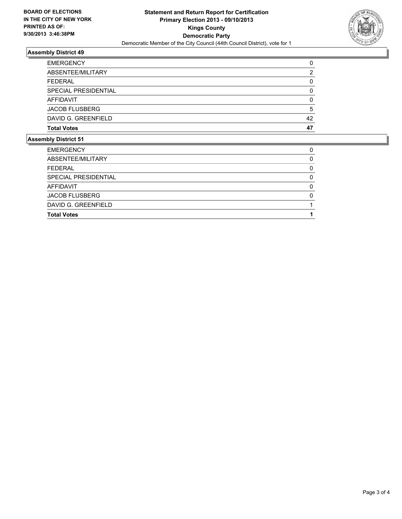

## **Assembly District 49**

| <b>EMERGENCY</b>      |    |
|-----------------------|----|
| ABSENTEE/MILITARY     | 2  |
| <b>FEDERAL</b>        | 0  |
| SPECIAL PRESIDENTIAL  |    |
| <b>AFFIDAVIT</b>      | 0  |
| <b>JACOB FLUSBERG</b> | 5  |
| DAVID G. GREENFIELD   | 42 |
| <b>Total Votes</b>    | 47 |

## **Assembly District 51**

| <b>Total Votes</b>    |   |
|-----------------------|---|
| DAVID G. GREENFIELD   |   |
| <b>JACOB FLUSBERG</b> |   |
| <b>AFFIDAVIT</b>      | n |
| SPECIAL PRESIDENTIAL  |   |
| <b>FEDERAL</b>        | O |
| ABSENTEE/MILITARY     |   |
| <b>EMERGENCY</b>      |   |